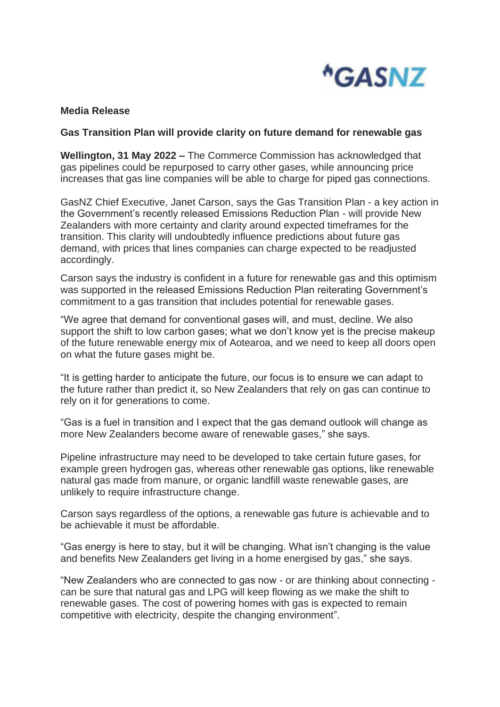

## **Media Release**

## **Gas Transition Plan will provide clarity on future demand for renewable gas**

**Wellington, 31 May 2022 –** The Commerce Commission has acknowledged that gas pipelines could be repurposed to carry other gases, while announcing price increases that gas line companies will be able to charge for piped gas connections.

GasNZ Chief Executive, Janet Carson, says the Gas Transition Plan - a key action in the Government's recently released Emissions Reduction Plan - will provide New Zealanders with more certainty and clarity around expected timeframes for the transition. This clarity will undoubtedly influence predictions about future gas demand, with prices that lines companies can charge expected to be readjusted accordingly.

Carson says the industry is confident in a future for renewable gas and this optimism was supported in the released Emissions Reduction Plan reiterating Government's commitment to a gas transition that includes potential for renewable gases.

"We agree that demand for conventional gases will, and must, decline. We also support the shift to low carbon gases; what we don't know yet is the precise makeup of the future renewable energy mix of Aotearoa, and we need to keep all doors open on what the future gases might be.

"It is getting harder to anticipate the future, our focus is to ensure we can adapt to the future rather than predict it, so New Zealanders that rely on gas can continue to rely on it for generations to come.

"Gas is a fuel in transition and I expect that the gas demand outlook will change as more New Zealanders become aware of renewable gases," she says.

Pipeline infrastructure may need to be developed to take certain future gases, for example green hydrogen gas, whereas other renewable gas options, like renewable natural gas made from manure, or organic landfill waste renewable gases, are unlikely to require infrastructure change.

Carson says regardless of the options, a renewable gas future is achievable and to be achievable it must be affordable.

"Gas energy is here to stay, but it will be changing. What isn't changing is the value and benefits New Zealanders get living in a home energised by gas," she says.

"New Zealanders who are connected to gas now - or are thinking about connecting can be sure that natural gas and LPG will keep flowing as we make the shift to renewable gases. The cost of powering homes with gas is expected to remain competitive with electricity, despite the changing environment".